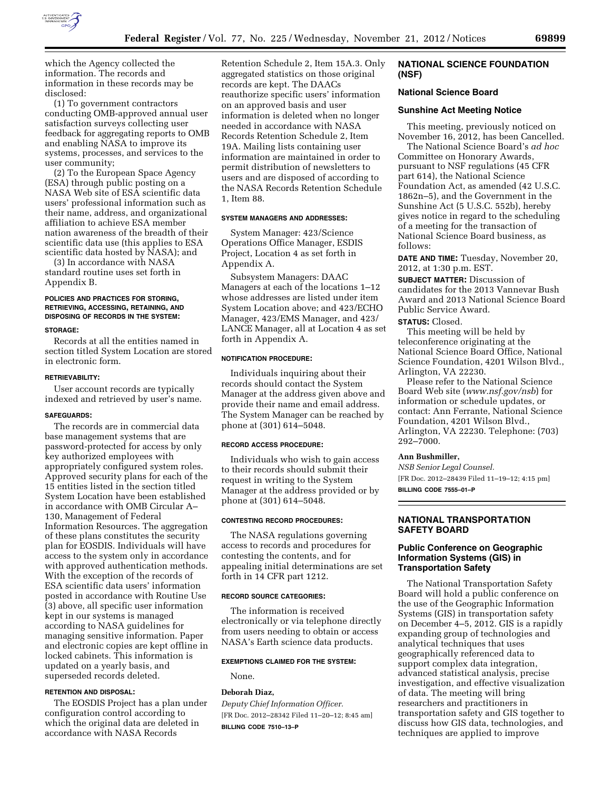

which the Agency collected the information. The records and information in these records may be disclosed:

(1) To government contractors conducting OMB-approved annual user satisfaction surveys collecting user feedback for aggregating reports to OMB and enabling NASA to improve its systems, processes, and services to the user community;

(2) To the European Space Agency (ESA) through public posting on a NASA Web site of ESA scientific data users' professional information such as their name, address, and organizational affiliation to achieve ESA member nation awareness of the breadth of their scientific data use (this applies to ESA scientific data hosted by NASA); and

(3) In accordance with NASA standard routine uses set forth in Appendix B.

# **POLICIES AND PRACTICES FOR STORING, RETRIEVING, ACCESSING, RETAINING, AND DISPOSING OF RECORDS IN THE SYSTEM:**

#### **STORAGE:**

Records at all the entities named in section titled System Location are stored in electronic form.

### **RETRIEVABILITY:**

User account records are typically indexed and retrieved by user's name.

## **SAFEGUARDS:**

The records are in commercial data base management systems that are password-protected for access by only key authorized employees with appropriately configured system roles. Approved security plans for each of the 15 entities listed in the section titled System Location have been established in accordance with OMB Circular A– 130, Management of Federal Information Resources. The aggregation of these plans constitutes the security plan for EOSDIS. Individuals will have access to the system only in accordance with approved authentication methods. With the exception of the records of ESA scientific data users' information posted in accordance with Routine Use (3) above, all specific user information kept in our systems is managed according to NASA guidelines for managing sensitive information. Paper and electronic copies are kept offline in locked cabinets. This information is updated on a yearly basis, and superseded records deleted.

# **RETENTION AND DISPOSAL:**

The EOSDIS Project has a plan under configuration control according to which the original data are deleted in accordance with NASA Records

Retention Schedule 2, Item 15A.3. Only aggregated statistics on those original records are kept. The DAACs reauthorize specific users' information on an approved basis and user information is deleted when no longer needed in accordance with NASA Records Retention Schedule 2, Item 19A. Mailing lists containing user information are maintained in order to permit distribution of newsletters to users and are disposed of according to the NASA Records Retention Schedule 1, Item 88.

## **SYSTEM MANAGERS AND ADDRESSES:**

System Manager: 423/Science Operations Office Manager, ESDIS Project, Location 4 as set forth in Appendix A.

Subsystem Managers: DAAC Managers at each of the locations 1–12 whose addresses are listed under item System Location above; and 423/ECHO Manager, 423/EMS Manager, and 423/ LANCE Manager, all at Location 4 as set forth in Appendix A.

#### **NOTIFICATION PROCEDURE:**

Individuals inquiring about their records should contact the System Manager at the address given above and provide their name and email address. The System Manager can be reached by phone at (301) 614–5048.

### **RECORD ACCESS PROCEDURE:**

Individuals who wish to gain access to their records should submit their request in writing to the System Manager at the address provided or by phone at (301) 614–5048.

# **CONTESTING RECORD PROCEDURES:**

The NASA regulations governing access to records and procedures for contesting the contents, and for appealing initial determinations are set forth in 14 CFR part 1212.

### **RECORD SOURCE CATEGORIES:**

The information is received electronically or via telephone directly from users needing to obtain or access NASA's Earth science data products.

#### **EXEMPTIONS CLAIMED FOR THE SYSTEM:**

None.

#### **Deborah Diaz,**

*Deputy Chief Information Officer.*  [FR Doc. 2012–28342 Filed 11–20–12; 8:45 am] **BILLING CODE 7510–13–P** 

# **NATIONAL SCIENCE FOUNDATION (NSF)**

## **National Science Board**

#### **Sunshine Act Meeting Notice**

This meeting, previously noticed on November 16, 2012, has been Cancelled. The National Science Board's *ad hoc* 

Committee on Honorary Awards, pursuant to NSF regulations (45 CFR part 614), the National Science Foundation Act, as amended (42 U.S.C. 1862n–5), and the Government in the Sunshine Act (5 U.S.C. 552b), hereby gives notice in regard to the scheduling of a meeting for the transaction of National Science Board business, as follows:

**DATE AND TIME:** Tuesday, November 20, 2012, at 1:30 p.m. EST.

**SUBJECT MATTER:** Discussion of candidates for the 2013 Vannevar Bush Award and 2013 National Science Board Public Service Award.

# **STATUS:** Closed.

This meeting will be held by teleconference originating at the National Science Board Office, National Science Foundation, 4201 Wilson Blvd., Arlington, VA 22230.

Please refer to the National Science Board Web site (*[www.nsf.gov/nsb](http://www.nsf.gov/nsb)*) for information or schedule updates, or contact: Ann Ferrante, National Science Foundation, 4201 Wilson Blvd., Arlington, VA 22230. Telephone: (703) 292–7000.

### **Ann Bushmiller,**

*NSB Senior Legal Counsel.*  [FR Doc. 2012–28439 Filed 11–19–12; 4:15 pm] **BILLING CODE 7555–01–P** 

**NATIONAL TRANSPORTATION SAFETY BOARD** 

# **Public Conference on Geographic Information Systems (GIS) in Transportation Safety**

The National Transportation Safety Board will hold a public conference on the use of the Geographic Information Systems (GIS) in transportation safety on December 4–5, 2012. GIS is a rapidly expanding group of technologies and analytical techniques that uses geographically referenced data to support complex data integration, advanced statistical analysis, precise investigation, and effective visualization of data. The meeting will bring researchers and practitioners in transportation safety and GIS together to discuss how GIS data, technologies, and techniques are applied to improve